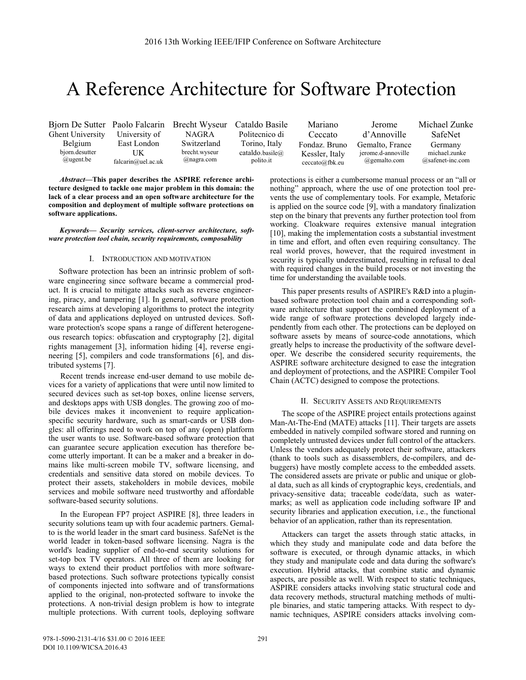# A Reference Architecture for Software Protection

Bjorn De Sutter Paolo Falcarin Brecht Wyseur Ghent University Belgium bjorn.desutter @ugent.be

University of East London **IK** falcarin@uel.ac.uk

NAGRA Switzerland brecht.wyseur @nagra.com

Cataldo Basile Politecnico di Torino, Italy cataldo.basile@ polito.it

Mariano Ceccato Fondaz. Bruno Kessler, Italy ceccato@fbk.eu Jerome d'Annoville Gemalto, France jerome.d-annoville @gemalto.com

Michael Zunke SafeNet Germany michael.zunke @safenet-inc.com

*Abstract***—This paper describes the ASPIRE reference architecture designed to tackle one major problem in this domain: the lack of a clear process and an open software architecture for the composition and deployment of multiple software protections on software applications.** 

*Keywords— Security services, client-server architecture, software protection tool chain, security requirements, composability* 

# I. INTRODUCTION AND MOTIVATION

 Software protection has been an intrinsic problem of software engineering since software became a commercial product. It is crucial to mitigate attacks such as reverse engineering, piracy, and tampering [1]. In general, software protection research aims at developing algorithms to protect the integrity of data and applications deployed on untrusted devices. Software protection's scope spans a range of different heterogeneous research topics: obfuscation and cryptography [2], digital rights management [3], information hiding [4], reverse engineering [5], compilers and code transformations [6], and distributed systems [7].

Recent trends increase end-user demand to use mobile devices for a variety of applications that were until now limited to secured devices such as set-top boxes, online license servers, and desktops apps with USB dongles. The growing zoo of mobile devices makes it inconvenient to require applicationspecific security hardware, such as smart-cards or USB dongles: all offerings need to work on top of any (open) platform the user wants to use. Software-based software protection that can guarantee secure application execution has therefore become utterly important. It can be a maker and a breaker in domains like multi-screen mobile TV, software licensing, and credentials and sensitive data stored on mobile devices. To protect their assets, stakeholders in mobile devices, mobile services and mobile software need trustworthy and affordable software-based security solutions.

In the European FP7 project ASPIRE [8], three leaders in security solutions team up with four academic partners. Gemalto is the world leader in the smart card business. SafeNet is the world leader in token-based software licensing. Nagra is the world's leading supplier of end-to-end security solutions for set-top box TV operators. All three of them are looking for ways to extend their product portfolios with more softwarebased protections. Such software protections typically consist of components injected into software and of transformations applied to the original, non-protected software to invoke the protections. A non-trivial design problem is how to integrate multiple protections. With current tools, deploying software protections is either a cumbersome manual process or an "all or nothing" approach, where the use of one protection tool prevents the use of complementary tools. For example, Metaforic is applied on the source code [9], with a mandatory finalization step on the binary that prevents any further protection tool from working. Cloakware requires extensive manual integration [10], making the implementation costs a substantial investment in time and effort, and often even requiring consultancy. The real world proves, however, that the required investment in security is typically underestimated, resulting in refusal to deal with required changes in the build process or not investing the time for understanding the available tools.

This paper presents results of ASPIRE's R&D into a pluginbased software protection tool chain and a corresponding software architecture that support the combined deployment of a wide range of software protections developed largely independently from each other. The protections can be deployed on software assets by means of source-code annotations, which greatly helps to increase the productivity of the software developer. We describe the considered security requirements, the ASPIRE software architecture designed to ease the integration and deployment of protections, and the ASPIRE Compiler Tool Chain (ACTC) designed to compose the protections.

### II. SECURITY ASSETS AND REQUIREMENTS

The scope of the ASPIRE project entails protections against Man-At-The-End (MATE) attacks [11]. Their targets are assets embedded in natively compiled software stored and running on completely untrusted devices under full control of the attackers. Unless the vendors adequately protect their software, attackers (thank to tools such as disassemblers, de-compilers, and debuggers) have mostly complete access to the embedded assets. The considered assets are private or public and unique or global data, such as all kinds of cryptographic keys, credentials, and privacy-sensitive data; traceable code/data, such as watermarks; as well as application code including software IP and security libraries and application execution, i.e., the functional behavior of an application, rather than its representation.

Attackers can target the assets through static attacks, in which they study and manipulate code and data before the software is executed, or through dynamic attacks, in which they study and manipulate code and data during the software's execution. Hybrid attacks, that combine static and dynamic aspects, are possible as well. With respect to static techniques, ASPIRE considers attacks involving static structural code and data recovery methods, structural matching methods of multiple binaries, and static tampering attacks. With respect to dynamic techniques, ASPIRE considers attacks involving com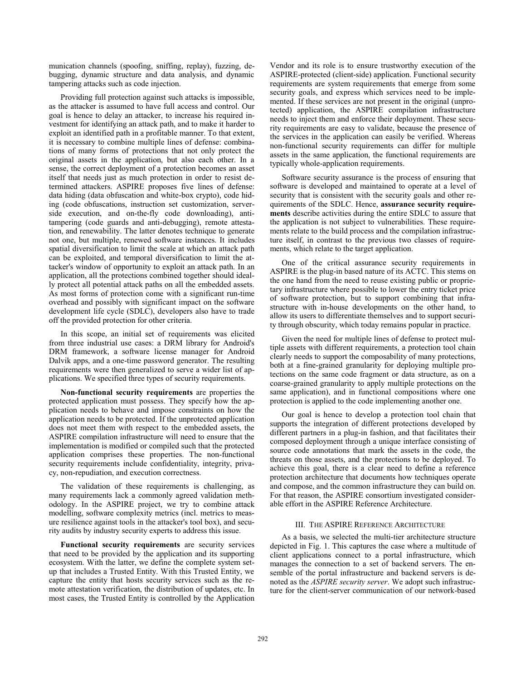munication channels (spoofing, sniffing, replay), fuzzing, debugging, dynamic structure and data analysis, and dynamic tampering attacks such as code injection.

Providing full protection against such attacks is impossible, as the attacker is assumed to have full access and control. Our goal is hence to delay an attacker, to increase his required investment for identifying an attack path, and to make it harder to exploit an identified path in a profitable manner. To that extent, it is necessary to combine multiple lines of defense: combinations of many forms of protections that not only protect the original assets in the application, but also each other. In a sense, the correct deployment of a protection becomes an asset itself that needs just as much protection in order to resist determined attackers. ASPIRE proposes five lines of defense: data hiding (data obfuscation and white-box crypto), code hiding (code obfuscations, instruction set customization, serverside execution, and on-the-fly code downloading), antitampering (code guards and anti-debugging), remote attestation, and renewability. The latter denotes technique to generate not one, but multiple, renewed software instances. It includes spatial diversification to limit the scale at which an attack path can be exploited, and temporal diversification to limit the attacker's window of opportunity to exploit an attack path. In an application, all the protections combined together should ideally protect all potential attack paths on all the embedded assets. As most forms of protection come with a significant run-time overhead and possibly with significant impact on the software development life cycle (SDLC), developers also have to trade off the provided protection for other criteria.

In this scope, an initial set of requirements was elicited from three industrial use cases: a DRM library for Android's DRM framework, a software license manager for Android Dalvik apps, and a one-time password generator. The resulting requirements were then generalized to serve a wider list of applications. We specified three types of security requirements.

**Non-functional security requirements** are properties the protected application must possess. They specify how the application needs to behave and impose constraints on how the application needs to be protected. If the unprotected application does not meet them with respect to the embedded assets, the ASPIRE compilation infrastructure will need to ensure that the implementation is modified or compiled such that the protected application comprises these properties. The non-functional security requirements include confidentiality, integrity, privacy, non-repudiation, and execution correctness.

The validation of these requirements is challenging, as many requirements lack a commonly agreed validation methodology. In the ASPIRE project, we try to combine attack modelling, software complexity metrics (incl. metrics to measure resilience against tools in the attacker's tool box), and security audits by industry security experts to address this issue.

**Functional security requirements** are security services that need to be provided by the application and its supporting ecosystem. With the latter, we define the complete system setup that includes a Trusted Entity. With this Trusted Entity, we capture the entity that hosts security services such as the remote attestation verification, the distribution of updates, etc. In most cases, the Trusted Entity is controlled by the Application Vendor and its role is to ensure trustworthy execution of the ASPIRE-protected (client-side) application. Functional security requirements are system requirements that emerge from some security goals, and express which services need to be implemented. If these services are not present in the original (unprotected) application, the ASPIRE compilation infrastructure needs to inject them and enforce their deployment. These security requirements are easy to validate, because the presence of the services in the application can easily be verified. Whereas non-functional security requirements can differ for multiple assets in the same application, the functional requirements are typically whole-application requirements.

Software security assurance is the process of ensuring that software is developed and maintained to operate at a level of security that is consistent with the security goals and other requirements of the SDLC. Hence, **assurance security requirements** describe activities during the entire SDLC to assure that the application is not subject to vulnerabilities. These requirements relate to the build process and the compilation infrastructure itself, in contrast to the previous two classes of requirements, which relate to the target application.

One of the critical assurance security requirements in ASPIRE is the plug-in based nature of its ACTC. This stems on the one hand from the need to reuse existing public or proprietary infrastructure where possible to lower the entry ticket price of software protection, but to support combining that infrastructure with in-house developments on the other hand, to allow its users to differentiate themselves and to support security through obscurity, which today remains popular in practice.

Given the need for multiple lines of defense to protect multiple assets with different requirements, a protection tool chain clearly needs to support the composability of many protections, both at a fine-grained granularity for deploying multiple protections on the same code fragment or data structure, as on a coarse-grained granularity to apply multiple protections on the same application), and in functional compositions where one protection is applied to the code implementing another one.

Our goal is hence to develop a protection tool chain that supports the integration of different protections developed by different partners in a plug-in fashion, and that facilitates their composed deployment through a unique interface consisting of source code annotations that mark the assets in the code, the threats on those assets, and the protections to be deployed. To achieve this goal, there is a clear need to define a reference protection architecture that documents how techniques operate and compose, and the common infrastructure they can build on. For that reason, the ASPIRE consortium investigated considerable effort in the ASPIRE Reference Architecture.

# III. THE ASPIRE REFERENCE ARCHITECTURE

As a basis, we selected the multi-tier architecture structure depicted in Fig. 1. This captures the case where a multitude of client applications connect to a portal infrastructure, which manages the connection to a set of backend servers. The ensemble of the portal infrastructure and backend servers is denoted as the *ASPIRE security server*. We adopt such infrastructure for the client-server communication of our network-based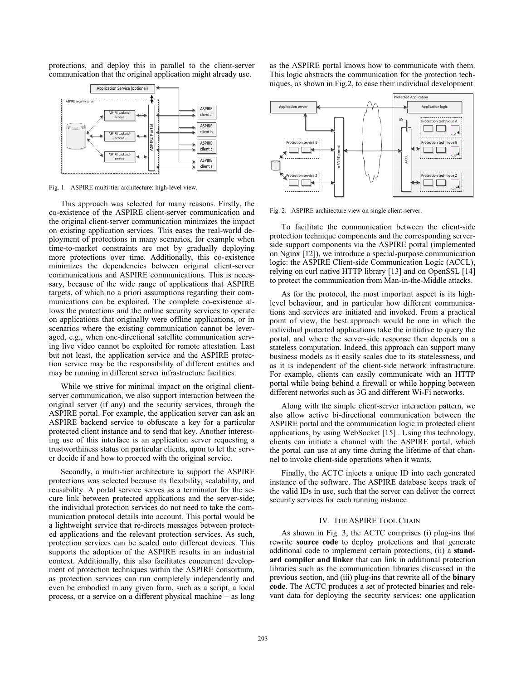protections, and deploy this in parallel to the client-server communication that the original application might already use.



Fig. 1. ASPIRE multi-tier architecture: high-level view.

This approach was selected for many reasons. Firstly, the co-existence of the ASPIRE client-server communication and the original client-server communication minimizes the impact on existing application services. This eases the real-world deployment of protections in many scenarios, for example when time-to-market constraints are met by gradually deploying more protections over time. Additionally, this co-existence minimizes the dependencies between original client-server communications and ASPIRE communications. This is necessary, because of the wide range of applications that ASPIRE targets, of which no a priori assumptions regarding their communications can be exploited. The complete co-existence allows the protections and the online security services to operate on applications that originally were offline applications, or in scenarios where the existing communication cannot be leveraged, e.g., when one-directional satellite communication serving live video cannot be exploited for remote attestation. Last but not least, the application service and the ASPIRE protection service may be the responsibility of different entities and may be running in different server infrastructure facilities.

While we strive for minimal impact on the original clientserver communication, we also support interaction between the original server (if any) and the security services, through the ASPIRE portal. For example, the application server can ask an ASPIRE backend service to obfuscate a key for a particular protected client instance and to send that key. Another interesting use of this interface is an application server requesting a trustworthiness status on particular clients, upon to let the server decide if and how to proceed with the original service.

Secondly, a multi-tier architecture to support the ASPIRE protections was selected because its flexibility, scalability, and reusability. A portal service serves as a terminator for the secure link between protected applications and the server-side; the individual protection services do not need to take the communication protocol details into account. This portal would be a lightweight service that re-directs messages between protected applications and the relevant protection services. As such, protection services can be scaled onto different devices. This supports the adoption of the ASPIRE results in an industrial context. Additionally, this also facilitates concurrent development of protection techniques within the ASPIRE consortium, as protection services can run completely independently and even be embodied in any given form, such as a script, a local process, or a service on a different physical machine – as long as the ASPIRE portal knows how to communicate with them. This logic abstracts the communication for the protection techniques, as shown in Fig.2, to ease their individual development.



Fig. 2. ASPIRE architecture view on single client-server.

To facilitate the communication between the client-side protection technique components and the corresponding serverside support components via the ASPIRE portal (implemented on Nginx [12]), we introduce a special-purpose communication logic: the ASPIRE Client-side Communication Logic (ACCL), relying on curl native HTTP library [13] and on OpenSSL [14] to protect the communication from Man-in-the-Middle attacks.

As for the protocol, the most important aspect is its highlevel behaviour, and in particular how different communications and services are initiated and invoked. From a practical point of view, the best approach would be one in which the individual protected applications take the initiative to query the portal, and where the server-side response then depends on a stateless computation. Indeed, this approach can support many business models as it easily scales due to its statelessness, and as it is independent of the client-side network infrastructure. For example, clients can easily communicate with an HTTP portal while being behind a firewall or while hopping between different networks such as 3G and different Wi-Fi networks.

Along with the simple client-server interaction pattern, we also allow active bi-directional communication between the ASPIRE portal and the communication logic in protected client applications, by using WebSocket [15] . Using this technology, clients can initiate a channel with the ASPIRE portal, which the portal can use at any time during the lifetime of that channel to invoke client-side operations when it wants.

Finally, the ACTC injects a unique ID into each generated instance of the software. The ASPIRE database keeps track of the valid IDs in use, such that the server can deliver the correct security services for each running instance.

#### IV. THE ASPIRE TOOL CHAIN

As shown in Fig. 3, the ACTC comprises (i) plug-ins that rewrite **source code** to deploy protections and that generate additional code to implement certain protections, (ii) a **standard compiler and linker** that can link in additional protection libraries such as the communication libraries discussed in the previous section, and (iii) plug-ins that rewrite all of the **binary code**. The ACTC produces a set of protected binaries and relevant data for deploying the security services: one application